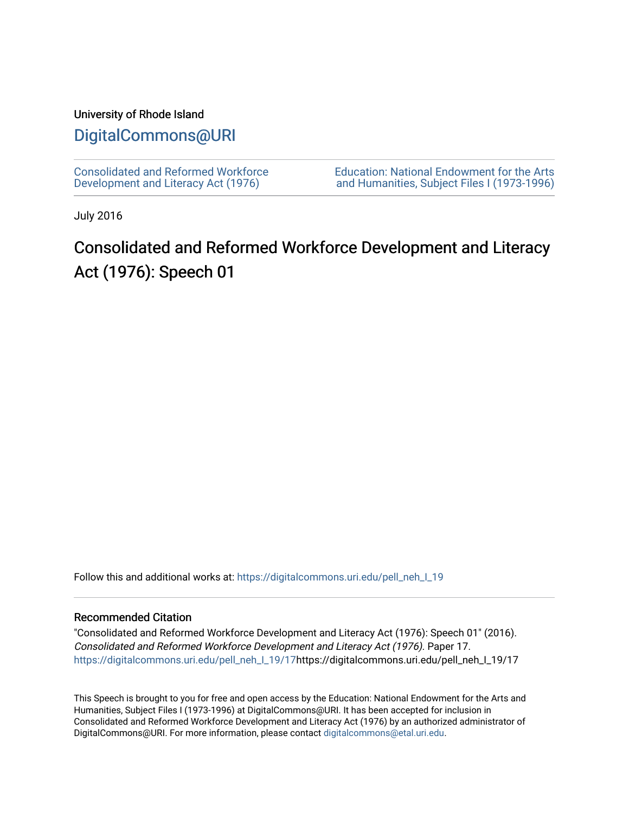## University of Rhode Island

# [DigitalCommons@URI](https://digitalcommons.uri.edu/)

[Consolidated and Reformed Workforce](https://digitalcommons.uri.edu/pell_neh_I_19)  [Development and Literacy Act \(1976\)](https://digitalcommons.uri.edu/pell_neh_I_19) 

[Education: National Endowment for the Arts](https://digitalcommons.uri.edu/pell_neh_I)  [and Humanities, Subject Files I \(1973-1996\)](https://digitalcommons.uri.edu/pell_neh_I) 

July 2016

# Consolidated and Reformed Workforce Development and Literacy Act (1976): Speech 01

Follow this and additional works at: https://digitalcommons.uri.edu/pell\_neh\_I\_19

#### Recommended Citation

"Consolidated and Reformed Workforce Development and Literacy Act (1976): Speech 01" (2016). Consolidated and Reformed Workforce Development and Literacy Act (1976). Paper 17. [https://digitalcommons.uri.edu/pell\\_neh\\_I\\_19/17h](https://digitalcommons.uri.edu/pell_neh_I_19/17?utm_source=digitalcommons.uri.edu%2Fpell_neh_I_19%2F17&utm_medium=PDF&utm_campaign=PDFCoverPages)ttps://digitalcommons.uri.edu/pell\_neh\_I\_19/17

This Speech is brought to you for free and open access by the Education: National Endowment for the Arts and Humanities, Subject Files I (1973-1996) at DigitalCommons@URI. It has been accepted for inclusion in Consolidated and Reformed Workforce Development and Literacy Act (1976) by an authorized administrator of DigitalCommons@URI. For more information, please contact [digitalcommons@etal.uri.edu.](mailto:digitalcommons@etal.uri.edu)